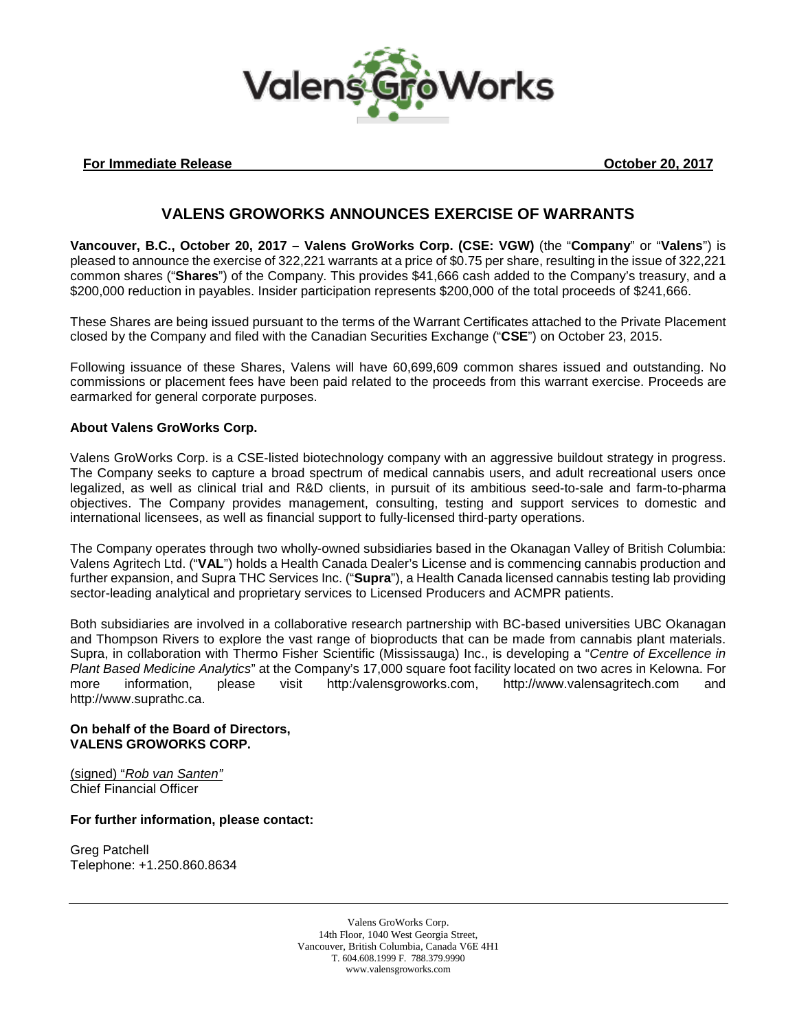

## **For Immediate Release Contract Contract Contract Contract Contract Contract Contract Contract Contract Contract Contract Contract Contract Contract Contract Contract Contract Contract Contract Contract Contract Contract C**

# **VALENS GROWORKS ANNOUNCES EXERCISE OF WARRANTS**

**Vancouver, B.C., October 20, 2017 – Valens GroWorks Corp. (CSE: VGW)** (the "**Company**" or "**Valens**") is pleased to announce the exercise of 322,221 warrants at a price of \$0.75 per share, resulting in the issue of 322,221 common shares ("**Shares**") of the Company. This provides \$41,666 cash added to the Company's treasury, and a \$200,000 reduction in payables. Insider participation represents \$200,000 of the total proceeds of \$241,666.

These Shares are being issued pursuant to the terms of the Warrant Certificates attached to the Private Placement closed by the Company and filed with the Canadian Securities Exchange ("**CSE**") on October 23, 2015.

Following issuance of these Shares, Valens will have 60,699,609 common shares issued and outstanding. No commissions or placement fees have been paid related to the proceeds from this warrant exercise. Proceeds are earmarked for general corporate purposes.

### **About Valens GroWorks Corp.**

Valens GroWorks Corp. is a CSE-listed biotechnology company with an aggressive buildout strategy in progress. The Company seeks to capture a broad spectrum of medical cannabis users, and adult recreational users once legalized, as well as clinical trial and R&D clients, in pursuit of its ambitious seed-to-sale and farm-to-pharma objectives. The Company provides management, consulting, testing and support services to domestic and international licensees, as well as financial support to fully-licensed third-party operations.

The Company operates through two wholly-owned subsidiaries based in the Okanagan Valley of British Columbia: Valens Agritech Ltd. ("**VAL**") holds a Health Canada Dealer's License and is commencing cannabis production and further expansion, and Supra THC Services Inc. ("**Supra**"), a Health Canada licensed cannabis testing lab providing sector-leading analytical and proprietary services to Licensed Producers and ACMPR patients.

Both subsidiaries are involved in a collaborative research partnership with BC-based universities UBC Okanagan and Thompson Rivers to explore the vast range of bioproducts that can be made from cannabis plant materials. Supra, in collaboration with Thermo Fisher Scientific (Mississauga) Inc., is developing a "*Centre of Excellence in Plant Based Medicine Analytics*" at the Company's 17,000 square foot facility located on two acres in Kelowna. For more information, please visit http:/valensgroworks.com, http://www.valensagritech.com and http://www.suprathc.ca.

#### **On behalf of the Board of Directors, VALENS GROWORKS CORP.**

(signed) "*Rob van Santen"* Chief Financial Officer

#### **For further information, please contact:**

Greg Patchell Telephone: +1.250.860.8634

> Valens GroWorks Corp. 14th Floor, 1040 West Georgia Street, Vancouver, British Columbia, Canada V6E 4H1 T. 604.608.1999 F. 788.379.9990 www.valensgroworks.com